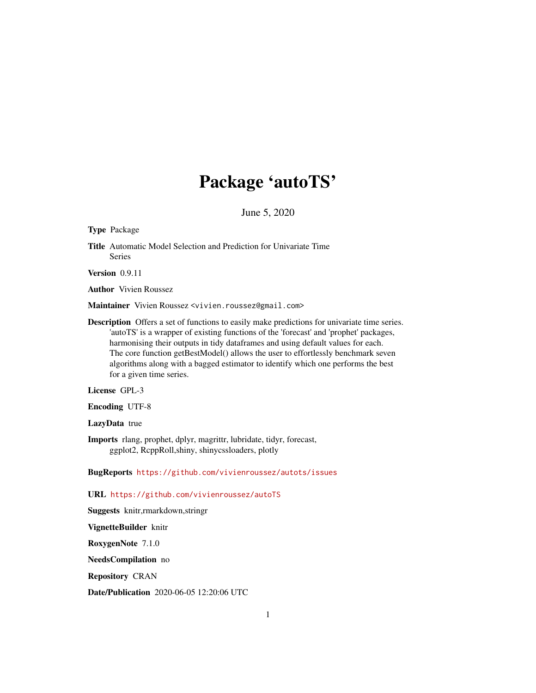## Package 'autoTS'

June 5, 2020

Type Package

Title Automatic Model Selection and Prediction for Univariate Time Series

Version 0.9.11

Author Vivien Roussez

Maintainer Vivien Roussez <vivien.roussez@gmail.com>

Description Offers a set of functions to easily make predictions for univariate time series. 'autoTS' is a wrapper of existing functions of the 'forecast' and 'prophet' packages, harmonising their outputs in tidy dataframes and using default values for each. The core function getBestModel() allows the user to effortlessly benchmark seven algorithms along with a bagged estimator to identify which one performs the best for a given time series.

License GPL-3

Encoding UTF-8

LazyData true

Imports rlang, prophet, dplyr, magrittr, lubridate, tidyr, forecast, ggplot2, RcppRoll,shiny, shinycssloaders, plotly

BugReports <https://github.com/vivienroussez/autots/issues>

URL <https://github.com/vivienroussez/autoTS>

Suggests knitr,rmarkdown,stringr

VignetteBuilder knitr

RoxygenNote 7.1.0

NeedsCompilation no

Repository CRAN

Date/Publication 2020-06-05 12:20:06 UTC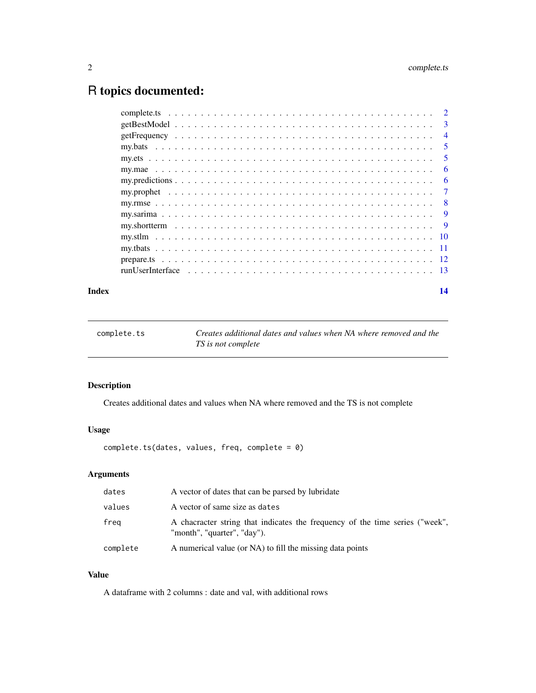### <span id="page-1-0"></span>R topics documented:

|  | - 2            |
|--|----------------|
|  | 3              |
|  | $\overline{4}$ |
|  | 5              |
|  | 5              |
|  | 6              |
|  | 6              |
|  | 7              |
|  | - 8            |
|  | 9              |
|  | - 9            |
|  |                |
|  |                |
|  |                |
|  |                |
|  |                |

#### **Index** 2008 **[14](#page-13-0)**

complete.ts *Creates additional dates and values when NA where removed and the TS is not complete*

#### Description

Creates additional dates and values when NA where removed and the TS is not complete

#### Usage

complete.ts(dates, values, freq, complete = 0)

#### Arguments

| dates    | A vector of dates that can be parsed by lubridate                                                           |
|----------|-------------------------------------------------------------------------------------------------------------|
| values   | A vector of same size as dates                                                                              |
| freg     | A chacracter string that indicates the frequency of the time series ("week",<br>"month", "quarter", "day"). |
| complete | A numerical value (or NA) to fill the missing data points                                                   |

#### Value

A dataframe with 2 columns : date and val, with additional rows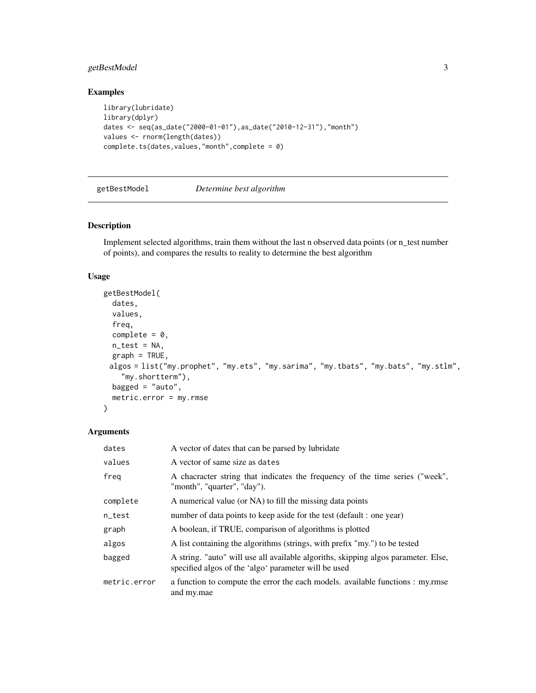#### <span id="page-2-0"></span>getBestModel 3

#### Examples

```
library(lubridate)
library(dplyr)
dates <- seq(as_date("2000-01-01"),as_date("2010-12-31"),"month")
values <- rnorm(length(dates))
complete.ts(dates,values,"month",complete = 0)
```
#### getBestModel *Determine best algorithm*

#### **Description**

Implement selected algorithms, train them without the last n observed data points (or n\_test number of points), and compares the results to reality to determine the best algorithm

#### Usage

```
getBestModel(
 dates,
  values,
  freq,
  complete = 0,
 n\_test = NA,
 graph = TRUE,algos = list("my.prophet", "my.ets", "my.sarima", "my.tbats", "my.bats", "my.stlm",
    "my.shortterm"),
 bagged = "auto",metric.error = my.rmse
)
```
#### Arguments

| dates        | A vector of dates that can be parsed by lubridate                                                                                          |  |
|--------------|--------------------------------------------------------------------------------------------------------------------------------------------|--|
| values       | A vector of same size as dates                                                                                                             |  |
| freg         | A chacracter string that indicates the frequency of the time series ("week",<br>"month", "quarter", "day").                                |  |
| complete     | A numerical value (or NA) to fill the missing data points                                                                                  |  |
| n_test       | number of data points to keep aside for the test (default : one year)                                                                      |  |
| graph        | A boolean, if TRUE, comparison of algorithms is plotted                                                                                    |  |
| algos        | A list containing the algorithms (strings, with prefix "my.") to be tested                                                                 |  |
| bagged       | A string. "auto" will use all available algoriths, skipping algos parameter. Else,<br>specified algos of the 'algo' parameter will be used |  |
| metric.error | a function to compute the error the each models. available functions : my.rmse<br>and my.mae                                               |  |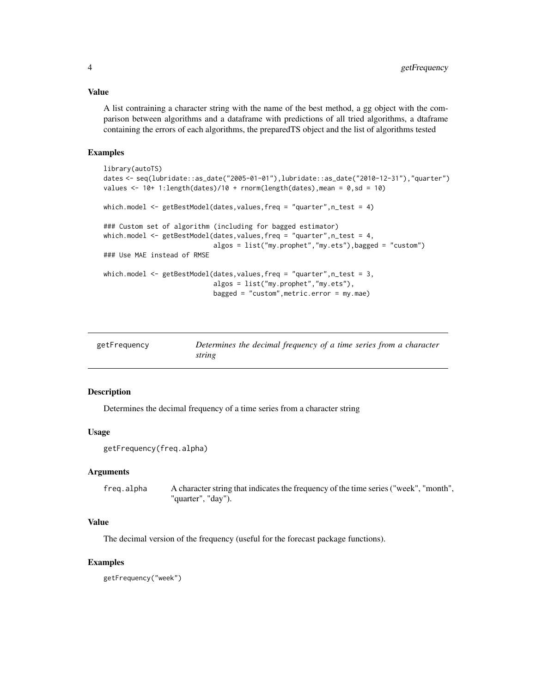#### <span id="page-3-0"></span>Value

A list contraining a character string with the name of the best method, a gg object with the comparison between algorithms and a dataframe with predictions of all tried algorithms, a dtaframe containing the errors of each algorithms, the preparedTS object and the list of algorithms tested

#### Examples

```
library(autoTS)
dates <- seq(lubridate::as_date("2005-01-01"),lubridate::as_date("2010-12-31"),"quarter")
values \le 10+ 1:length(dates)/10 + rnorm(length(dates), mean = 0, sd = 10)
which.model <- getBestModel(dates, values, freq = "quarter", n_test = 4)
### Custom set of algorithm (including for bagged estimator)
which.model <- getBestModel(dates, values, freq = "quarter", n_test = 4,
                            algos = list("my.prophet","my.ets"),bagged = "custom")
### Use MAE instead of RMSE
which.model <- getBestModel(dates,values,freq = "quarter",n_test = 3,
                            algos = list("my.prophet","my.ets"),
                            bagged = "custom",metric.error = my.mae)
```

| getFrequency | Determines the decimal frequency of a time series from a character |
|--------------|--------------------------------------------------------------------|
|              | string                                                             |

#### Description

Determines the decimal frequency of a time series from a character string

#### Usage

```
getFrequency(freq.alpha)
```
#### **Arguments**

freq.alpha A character string that indicates the frequency of the time series ("week", "month", "quarter", "day").

#### Value

The decimal version of the frequency (useful for the forecast package functions).

#### Examples

getFrequency("week")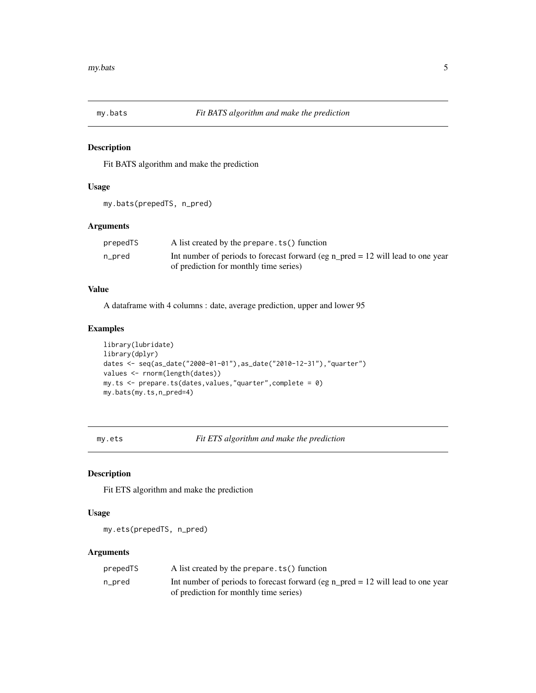<span id="page-4-0"></span>

#### Description

Fit BATS algorithm and make the prediction

#### Usage

my.bats(prepedTS, n\_pred)

#### Arguments

| prepedTS | A list created by the prepare. ts() function                                      |
|----------|-----------------------------------------------------------------------------------|
| n_pred   | Int number of periods to forecast forward (eg n_pred = $12$ will lead to one year |
|          | of prediction for monthly time series)                                            |

#### Value

A dataframe with 4 columns : date, average prediction, upper and lower 95

#### Examples

```
library(lubridate)
library(dplyr)
dates <- seq(as_date("2000-01-01"),as_date("2010-12-31"),"quarter")
values <- rnorm(length(dates))
my.ts <- prepare.ts(dates,values,"quarter",complete = 0)
my.bats(my.ts,n_pred=4)
```
my.ets *Fit ETS algorithm and make the prediction*

#### Description

Fit ETS algorithm and make the prediction

#### Usage

my.ets(prepedTS, n\_pred)

#### Arguments

| prepedTS | A list created by the prepare. ts() function                                      |
|----------|-----------------------------------------------------------------------------------|
| n_pred   | Int number of periods to forecast forward (eg n $pred = 12$ will lead to one year |
|          | of prediction for monthly time series)                                            |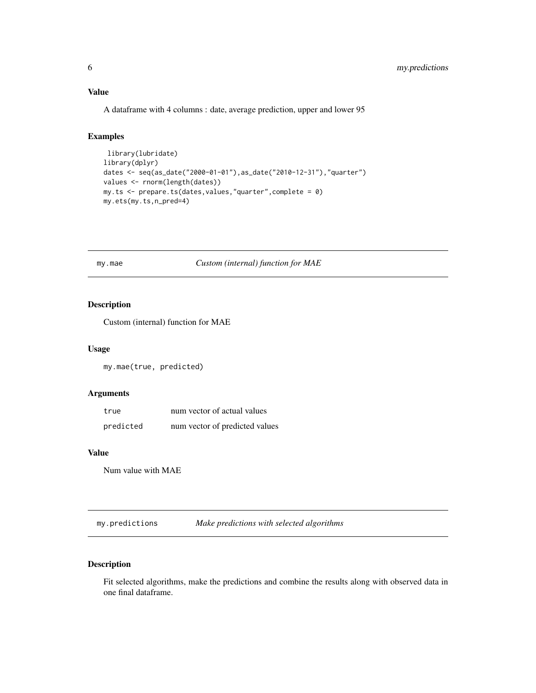#### <span id="page-5-0"></span>Value

A dataframe with 4 columns : date, average prediction, upper and lower 95

#### Examples

```
library(lubridate)
library(dplyr)
dates <- seq(as_date("2000-01-01"),as_date("2010-12-31"),"quarter")
values <- rnorm(length(dates))
my.ts <- prepare.ts(dates,values,"quarter",complete = 0)
my.ets(my.ts,n_pred=4)
```
my.mae *Custom (internal) function for MAE*

#### Description

Custom (internal) function for MAE

#### Usage

my.mae(true, predicted)

#### Arguments

| true      | num vector of actual values    |
|-----------|--------------------------------|
| predicted | num vector of predicted values |

#### Value

Num value with MAE

my.predictions *Make predictions with selected algorithms*

#### Description

Fit selected algorithms, make the predictions and combine the results along with observed data in one final dataframe.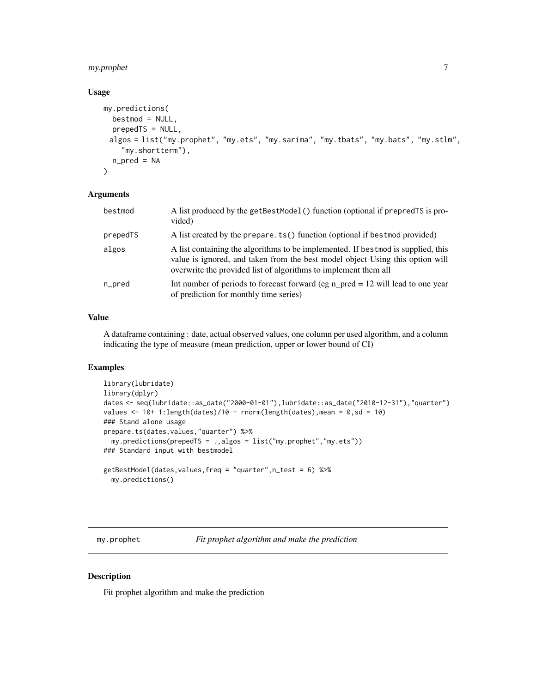#### <span id="page-6-0"></span>my.prophet 7

#### Usage

```
my.predictions(
 bestmod = NULL,
  prepedTS = NULL,
 algos = list("my.prophet", "my.ets", "my.sarima", "my.tbats", "my.bats", "my.stlm",
    "my.shortterm"),
  n_pred = NA
)
```
#### Arguments

| bestmod  | A list produced by the getBestModel () function (optional if prepred TS is pro-<br>vided)                                                                                                                                            |
|----------|--------------------------------------------------------------------------------------------------------------------------------------------------------------------------------------------------------------------------------------|
| prepedTS | A list created by the prepare. ts() function (optional if bestmod provided)                                                                                                                                                          |
| algos    | A list containing the algorithms to be implemented. If bestmod is supplied, this<br>value is ignored, and taken from the best model object Using this option will<br>overwrite the provided list of algorithms to implement them all |
| n_pred   | Int number of periods to forecast forward (eg n_pred = $12$ will lead to one year<br>of prediction for monthly time series)                                                                                                          |

#### Value

A dataframe containing : date, actual observed values, one column per used algorithm, and a column indicating the type of measure (mean prediction, upper or lower bound of CI)

#### Examples

```
library(lubridate)
library(dplyr)
dates <- seq(lubridate::as_date("2000-01-01"),lubridate::as_date("2010-12-31"),"quarter")
values <- 10+ 1: length(dates)/10 + rnorm(length(dates), mean = 0, sd = 10)
### Stand alone usage
prepare.ts(dates,values,"quarter") %>%
  my.predictions(prepedTS = .,algos = list("my.prophet","my.ets"))
### Standard input with bestmodel
getBestModel(dates,values,freq = "quarter",n_test = 6) %>%
  my.predictions()
```
my.prophet *Fit prophet algorithm and make the prediction*

#### Description

Fit prophet algorithm and make the prediction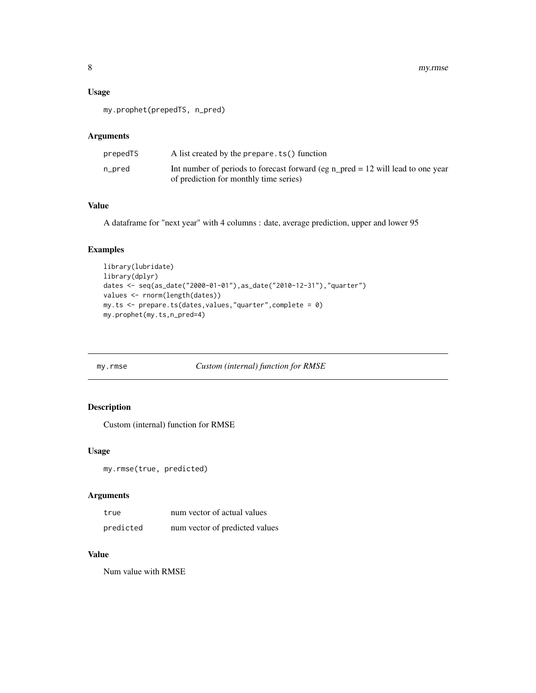#### <span id="page-7-0"></span>Usage

my.prophet(prepedTS, n\_pred)

#### Arguments

| prepedTS | A list created by the prepare. ts() function                                                                                |
|----------|-----------------------------------------------------------------------------------------------------------------------------|
| n_pred   | Int number of periods to forecast forward (eg n_pred = $12$ will lead to one year<br>of prediction for monthly time series) |

#### Value

A dataframe for "next year" with 4 columns : date, average prediction, upper and lower 95

#### Examples

```
library(lubridate)
library(dplyr)
dates <- seq(as_date("2000-01-01"),as_date("2010-12-31"),"quarter")
values <- rnorm(length(dates))
my.ts <- prepare.ts(dates,values,"quarter",complete = 0)
my.prophet(my.ts,n_pred=4)
```
my.rmse *Custom (internal) function for RMSE*

#### Description

Custom (internal) function for RMSE

#### Usage

my.rmse(true, predicted)

#### Arguments

| true      | num vector of actual values    |
|-----------|--------------------------------|
| predicted | num vector of predicted values |

#### Value

Num value with RMSE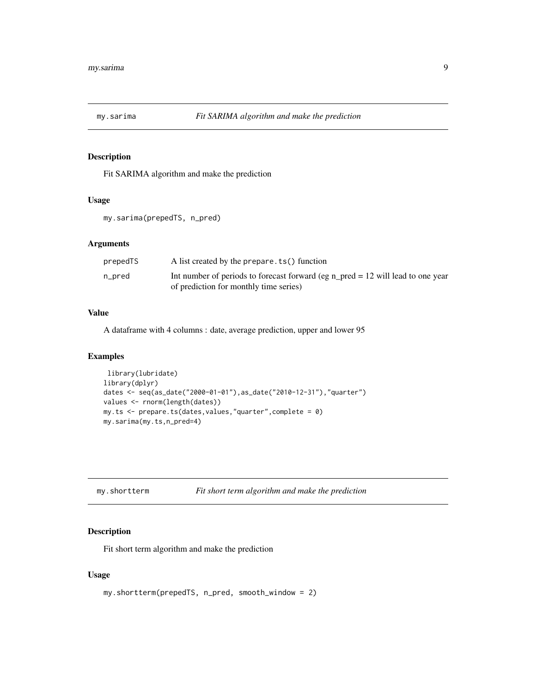<span id="page-8-0"></span>

#### Description

Fit SARIMA algorithm and make the prediction

#### Usage

my.sarima(prepedTS, n\_pred)

#### Arguments

| prepedTS | A list created by the prepare. ts() function                                      |
|----------|-----------------------------------------------------------------------------------|
| n_pred   | Int number of periods to forecast forward (eg $n$ pred = 12 will lead to one year |
|          | of prediction for monthly time series)                                            |

#### Value

A dataframe with 4 columns : date, average prediction, upper and lower 95

#### Examples

```
library(lubridate)
library(dplyr)
dates <- seq(as_date("2000-01-01"),as_date("2010-12-31"),"quarter")
values <- rnorm(length(dates))
my.ts <- prepare.ts(dates,values,"quarter",complete = 0)
my.sarima(my.ts,n_pred=4)
```

|  | my.shortterm |
|--|--------------|
|--|--------------|

```
my.shortterm Fit short term algorithm and make the prediction
```
#### Description

Fit short term algorithm and make the prediction

#### Usage

```
my.shortterm(prepedTS, n_pred, smooth_window = 2)
```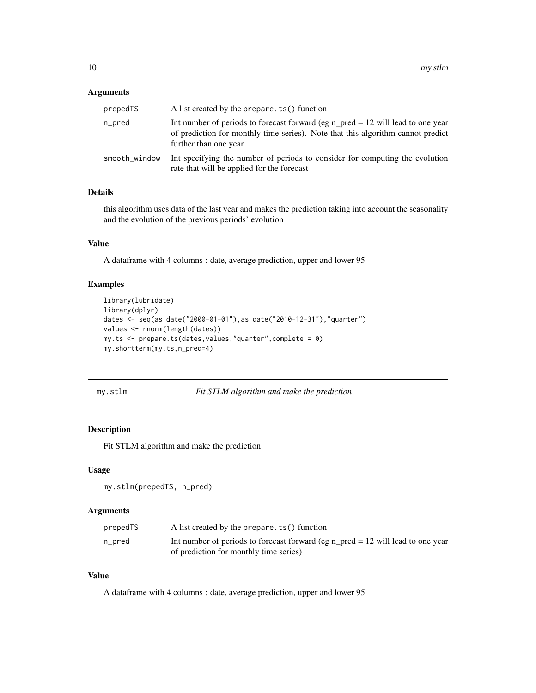#### <span id="page-9-0"></span>Arguments

| prepedTS      | A list created by the prepare. ts() function                                                                                                                                                  |
|---------------|-----------------------------------------------------------------------------------------------------------------------------------------------------------------------------------------------|
| n_pred        | Int number of periods to forecast forward (eg n_pred = $12$ will lead to one year<br>of prediction for monthly time series). Note that this algorithm cannot predict<br>further than one year |
| smooth_window | Int specifying the number of periods to consider for computing the evolution<br>rate that will be applied for the forecast                                                                    |

#### Details

this algorithm uses data of the last year and makes the prediction taking into account the seasonality and the evolution of the previous periods' evolution

#### Value

A dataframe with 4 columns : date, average prediction, upper and lower 95

#### Examples

```
library(lubridate)
library(dplyr)
dates <- seq(as_date("2000-01-01"),as_date("2010-12-31"),"quarter")
values <- rnorm(length(dates))
my.ts <- prepare.ts(dates,values,"quarter",complete = 0)
my.shortterm(my.ts,n_pred=4)
```
my.stlm *Fit STLM algorithm and make the prediction*

#### Description

Fit STLM algorithm and make the prediction

#### Usage

my.stlm(prepedTS, n\_pred)

#### Arguments

| prepedTS | A list created by the prepare. ts() function                                      |
|----------|-----------------------------------------------------------------------------------|
| n_pred   | Int number of periods to forecast forward (eg n $pred = 12$ will lead to one year |
|          | of prediction for monthly time series)                                            |

#### Value

A dataframe with 4 columns : date, average prediction, upper and lower 95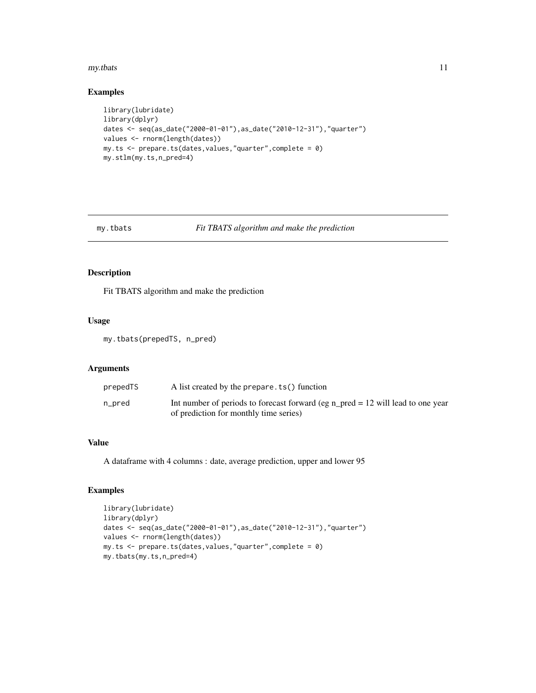#### <span id="page-10-0"></span>my.tbats 11

#### Examples

```
library(lubridate)
library(dplyr)
dates <- seq(as_date("2000-01-01"),as_date("2010-12-31"),"quarter")
values <- rnorm(length(dates))
my.ts <- prepare.ts(dates,values,"quarter",complete = 0)
my.stlm(my.ts,n_pred=4)
```

```
my.tbats Fit TBATS algorithm and make the prediction
```
#### Description

Fit TBATS algorithm and make the prediction

#### Usage

```
my.tbats(prepedTS, n_pred)
```
#### Arguments

| prepedTS | A list created by the prepare. ts() function                                                                                |
|----------|-----------------------------------------------------------------------------------------------------------------------------|
| n_pred   | Int number of periods to forecast forward (eg n_pred = $12$ will lead to one year<br>of prediction for monthly time series) |

#### Value

A dataframe with 4 columns : date, average prediction, upper and lower 95

#### Examples

```
library(lubridate)
library(dplyr)
dates <- seq(as_date("2000-01-01"),as_date("2010-12-31"),"quarter")
values <- rnorm(length(dates))
my.ts <- prepare.ts(dates,values,"quarter",complete = 0)
my.tbats(my.ts,n_pred=4)
```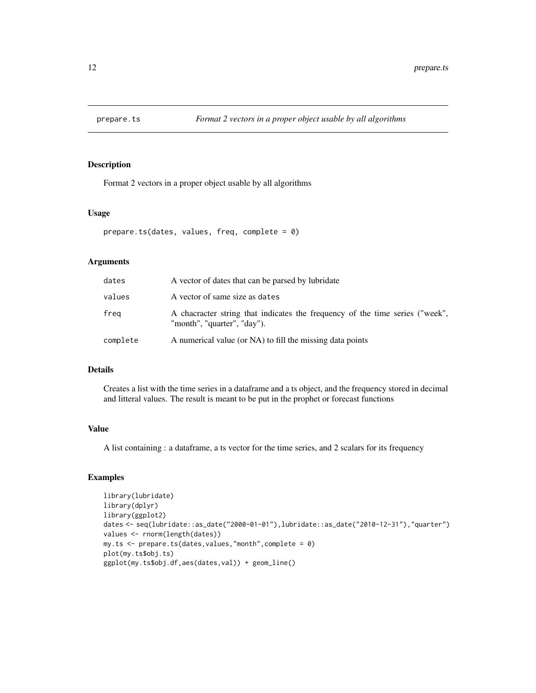<span id="page-11-0"></span>

#### Description

Format 2 vectors in a proper object usable by all algorithms

#### Usage

```
prepare.ts(dates, values, freq, complete = 0)
```
#### Arguments

| dates    | A vector of dates that can be parsed by lubridate                                                           |
|----------|-------------------------------------------------------------------------------------------------------------|
| values   | A vector of same size as dates                                                                              |
| freg     | A chacracter string that indicates the frequency of the time series ("week",<br>"month", "quarter", "day"). |
| complete | A numerical value (or NA) to fill the missing data points                                                   |

#### Details

Creates a list with the time series in a dataframe and a ts object, and the frequency stored in decimal and litteral values. The result is meant to be put in the prophet or forecast functions

#### Value

A list containing : a dataframe, a ts vector for the time series, and 2 scalars for its frequency

#### Examples

```
library(lubridate)
library(dplyr)
library(ggplot2)
dates <- seq(lubridate::as_date("2000-01-01"),lubridate::as_date("2010-12-31"),"quarter")
values <- rnorm(length(dates))
my.ts <- prepare.ts(dates,values,"month",complete = 0)
plot(my.ts$obj.ts)
ggplot(my.ts$obj.df,aes(dates,val)) + geom_line()
```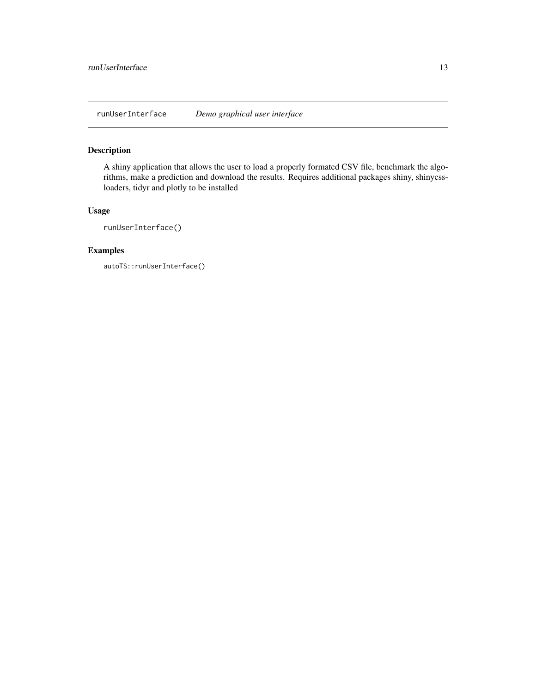<span id="page-12-0"></span>runUserInterface *Demo graphical user interface*

#### Description

A shiny application that allows the user to load a properly formated CSV file, benchmark the algorithms, make a prediction and download the results. Requires additional packages shiny, shinycssloaders, tidyr and plotly to be installed

#### Usage

runUserInterface()

#### Examples

autoTS::runUserInterface()